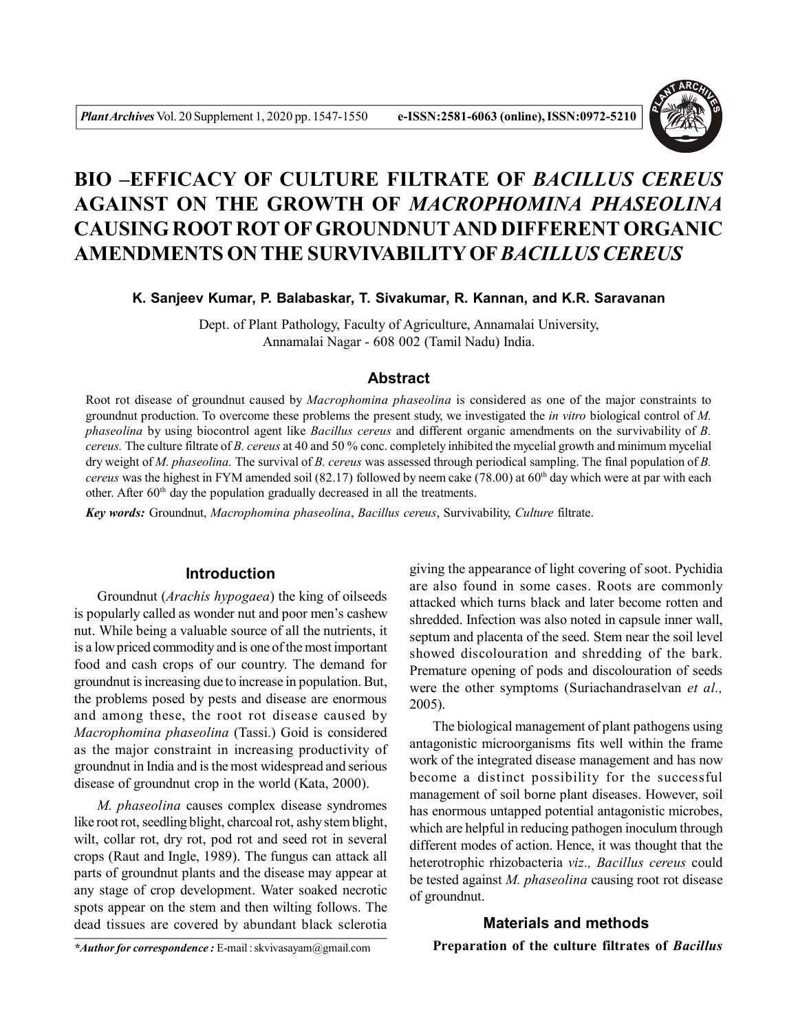

# **BIO –EFFICACY OF CULTURE FILTRATE OF** *BACILLUS CEREUS* **AGAINST ON THE GROWTH OF** *MACROPHOMINA PHASEOLINA* **CAUSING ROOT ROT OF GROUNDNUTAND DIFFERENT ORGANIC AMENDMENTS ON THE SURVIVABILITY OF***BACILLUS CEREUS*

**K. Sanjeev Kumar, P. Balabaskar, T. Sivakumar, R. Kannan, and K.R. Saravanan**

Dept. of Plant Pathology, Faculty of Agriculture, Annamalai University, Annamalai Nagar - 608 002 (Tamil Nadu) India.

### **Abstract**

Root rot disease of groundnut caused by *Macrophomina phaseolina* is considered as one of the major constraints to groundnut production. To overcome these problems the present study, we investigated the *in vitro* biological control of *M. phaseolina* by using biocontrol agent like *Bacillus cereus* and different organic amendments on the survivability of *B. cereus.* The culture filtrate of *B. cereus* at 40 and 50 % conc. completely inhibited the mycelial growth and minimum mycelial dry weight of *M. phaseolina.* The survival of *B. cereus* was assessed through periodical sampling. The final population of *B. cereus* was the highest in FYM amended soil (82.17) followed by neem cake (78.00) at 60<sup>th</sup> day which were at par with each other. After 60<sup>th</sup> day the population gradually decreased in all the treatments.

*Key words:* Groundnut, *Macrophomina phaseolina*, *Bacillus cereus*, Survivability, *Culture* filtrate.

#### **Introduction**

Groundnut (*Arachis hypogaea*) the king of oilseeds is popularly called as wonder nut and poor men's cashew nut. While being a valuable source of all the nutrients, it is a low priced commodity and is one of the most important food and cash crops of our country. The demand for groundnut is increasing due to increase in population. But, the problems posed by pests and disease are enormous and among these, the root rot disease caused by *Macrophomina phaseolina* (Tassi.) Goid is considered as the major constraint in increasing productivity of groundnut in India and is the most widespread and serious disease of groundnut crop in the world (Kata, 2000).

*M. phaseolina* causes complex disease syndromes like root rot, seedling blight, charcoal rot, ashy stem blight, wilt, collar rot, dry rot, pod rot and seed rot in several crops (Raut and Ingle, 1989). The fungus can attack all parts of groundnut plants and the disease may appear at any stage of crop development. Water soaked necrotic spots appear on the stem and then wilting follows. The dead tissues are covered by abundant black sclerotia

giving the appearance of light covering of soot. Pychidia are also found in some cases. Roots are commonly attacked which turns black and later become rotten and shredded. Infection was also noted in capsule inner wall, septum and placenta of the seed. Stem near the soil level showed discolouration and shredding of the bark. Premature opening of pods and discolouration of seeds were the other symptoms (Suriachandraselvan *et al.,* 2005).

The biological management of plant pathogens using antagonistic microorganisms fits well within the frame work of the integrated disease management and has now become a distinct possibility for the successful management of soil borne plant diseases. However, soil has enormous untapped potential antagonistic microbes, which are helpful in reducing pathogen inoculum through different modes of action. Hence, it was thought that the heterotrophic rhizobacteria *viz., Bacillus cereus* could be tested against *M. phaseolina* causing root rot disease of groundnut.

## **Materials and methods**

*\*Author for correspondence :* E-mail : skvivasayam@gmail.com

**Preparation of the culture filtrates of** *Bacillus*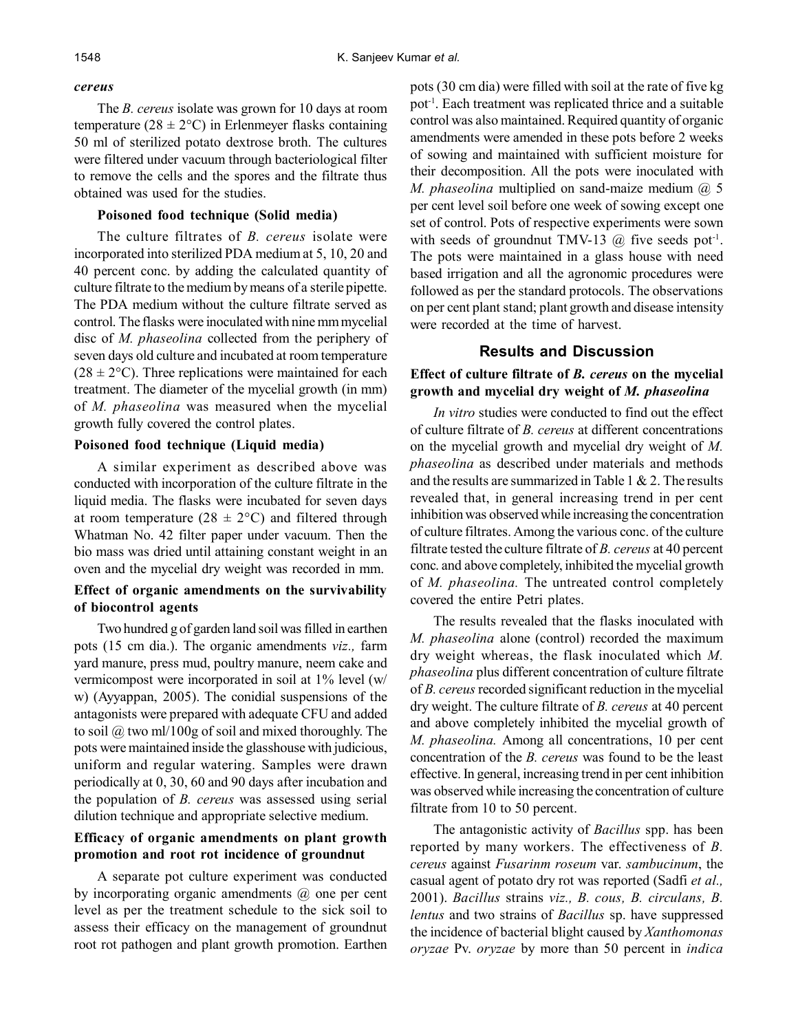#### *cereus*

The *B. cereus* isolate was grown for 10 days at room temperature ( $28 \pm 2$ °C) in Erlenmeyer flasks containing 50 ml of sterilized potato dextrose broth. The cultures were filtered under vacuum through bacteriological filter to remove the cells and the spores and the filtrate thus obtained was used for the studies.

#### **Poisoned food technique (Solid media)**

The culture filtrates of *B. cereus* isolate were incorporated into sterilized PDA medium at 5, 10, 20 and 40 percent conc. by adding the calculated quantity of culture filtrate to the medium by means of a sterile pipette. The PDA medium without the culture filtrate served as control. The flasks were inoculated with nine mm mycelial disc of *M. phaseolina* collected from the periphery of seven days old culture and incubated at room temperature  $(28 \pm 2^{\circ}C)$ . Three replications were maintained for each treatment. The diameter of the mycelial growth (in mm) of *M. phaseolina* was measured when the mycelial growth fully covered the control plates.

## **Poisoned food technique (Liquid media)**

A similar experiment as described above was conducted with incorporation of the culture filtrate in the liquid media. The flasks were incubated for seven days at room temperature ( $28 \pm 2$ °C) and filtered through Whatman No. 42 filter paper under vacuum. Then the bio mass was dried until attaining constant weight in an oven and the mycelial dry weight was recorded in mm.

## **Effect of organic amendments on the survivability of biocontrol agents**

Two hundred g of garden land soil was filled in earthen pots (15 cm dia.). The organic amendments *viz.,* farm yard manure, press mud, poultry manure, neem cake and vermicompost were incorporated in soil at 1% level (w/ w) (Ayyappan, 2005). The conidial suspensions of the antagonists were prepared with adequate CFU and added to soil @ two ml/100g of soil and mixed thoroughly. The pots were maintained inside the glasshouse with judicious, uniform and regular watering. Samples were drawn periodically at 0, 30, 60 and 90 days after incubation and the population of *B. cereus* was assessed using serial dilution technique and appropriate selective medium.

### **Efficacy of organic amendments on plant growth promotion and root rot incidence of groundnut**

A separate pot culture experiment was conducted by incorporating organic amendments @ one per cent level as per the treatment schedule to the sick soil to assess their efficacy on the management of groundnut root rot pathogen and plant growth promotion. Earthen

pots (30 cm dia) were filled with soil at the rate of five kg pot-1 . Each treatment was replicated thrice and a suitable control was also maintained. Required quantity of organic amendments were amended in these pots before 2 weeks of sowing and maintained with sufficient moisture for their decomposition. All the pots were inoculated with *M. phaseolina* multiplied on sand-maize medium @ 5 per cent level soil before one week of sowing except one set of control. Pots of respective experiments were sown with seeds of groundnut TMV-13  $\omega$  five seeds pot<sup>-1</sup>. The pots were maintained in a glass house with need based irrigation and all the agronomic procedures were followed as per the standard protocols. The observations on per cent plant stand; plant growth and disease intensity were recorded at the time of harvest.

# **Results and Discussion**

## **Effect of culture filtrate of** *B. cereus* **on the mycelial growth and mycelial dry weight of** *M. phaseolina*

*In vitro* studies were conducted to find out the effect of culture filtrate of *B. cereus* at different concentrations on the mycelial growth and mycelial dry weight of *M. phaseolina* as described under materials and methods and the results are summarized in Table 1 & 2. The results revealed that, in general increasing trend in per cent inhibition was observed while increasing the concentration of culture filtrates. Among the various conc. of the culture filtrate tested the culture filtrate of *B. cereus* at 40 percent conc. and above completely, inhibited the mycelial growth of *M. phaseolina.* The untreated control completely covered the entire Petri plates.

The results revealed that the flasks inoculated with *M. phaseolina* alone (control) recorded the maximum dry weight whereas, the flask inoculated which *M. phaseolina* plus different concentration of culture filtrate of *B. cereus* recorded significant reduction in the mycelial dry weight. The culture filtrate of *B. cereus* at 40 percent and above completely inhibited the mycelial growth of *M. phaseolina.* Among all concentrations, 10 per cent concentration of the *B. cereus* was found to be the least effective. In general, increasing trend in per cent inhibition was observed while increasing the concentration of culture filtrate from 10 to 50 percent.

The antagonistic activity of *Bacillus* spp. has been reported by many workers. The effectiveness of *B. cereus* against *Fusarinm roseum* var. *sambucinum*, the casual agent of potato dry rot was reported (Sadfi *et al.,* 2001). *Bacillus* strains *viz., B. cous, B. circulans, B. lentus* and two strains of *Bacillus* sp. have suppressed the incidence of bacterial blight caused by *Xanthomonas oryzae* Pv. *oryzae* by more than 50 percent in *indica*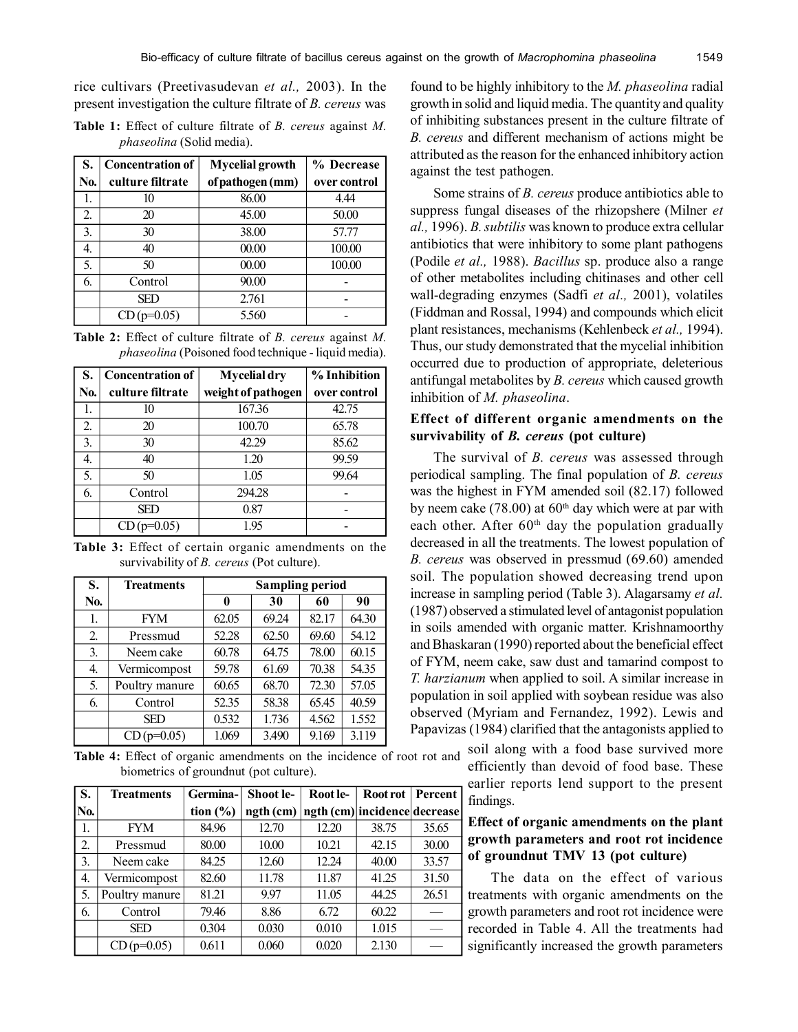rice cultivars (Preetivasudevan *et al.,* 2003). In the present investigation the culture filtrate of *B. cereus* was

**Table 1:** Effect of culture filtrate of *B. cereus* against *M. phaseolina* (Solid media).

| S.  | <b>Concentration of</b> | <b>Mycelial growth</b> | % Decrease   |
|-----|-------------------------|------------------------|--------------|
| No. | culture filtrate        | of pathogen (mm)       | over control |
| I.  | 10                      | 86.00                  | 4.44         |
| 2.  | 20                      | 45.00                  | 50.00        |
| 3.  | 30                      | 38.00                  | 57.77        |
| 4.  | 40                      | 00.00                  | 100.00       |
| 5.  | 50                      | 00.00                  | 100.00       |
| 6.  | Control                 | 90.00                  |              |
|     | SED                     | 2.761                  |              |
|     | $CD (p=0.05)$           | 5.560                  |              |

**Table 2:** Effect of culture filtrate of *B. cereus* against *M. phaseolina* (Poisoned food technique - liquid media).

| S.  | <b>Concentration of</b> | <b>Mycelial dry</b> | % Inhibition |
|-----|-------------------------|---------------------|--------------|
| No. | culture filtrate        | weight of pathogen  | over control |
| I.  | 10                      | 167.36              | 42.75        |
| 2.  | 20                      | 100.70              | 65.78        |
| 3.  | 30                      | 42.29               | 85.62        |
| 4.  | 40                      | 1.20                | 99.59        |
| 5.  | 50                      | 1.05                | 99.64        |
| 6.  | Control                 | 294.28              |              |
|     | SED                     | 0.87                |              |
|     | $(p=0.05)$              | 1.95                |              |

**Table 3:** Effect of certain organic amendments on the survivability of *B. cereus* (Pot culture).

| S.  | <b>Treatments</b> | <b>Sampling period</b> |       |       |       |
|-----|-------------------|------------------------|-------|-------|-------|
| No. |                   | 0                      | 30    | 60    | 90    |
| 1.  | <b>FYM</b>        | 62.05                  | 69.24 | 82.17 | 64.30 |
| 2.  | Pressmud          | 52.28                  | 62.50 | 69.60 | 54.12 |
| 3.  | Neem cake         | 60.78                  | 64.75 | 78.00 | 60.15 |
| 4.  | Vermicompost      | 59.78                  | 61.69 | 70.38 | 54.35 |
| 5.  | Poultry manure    | 60.65                  | 68.70 | 72.30 | 57.05 |
| 6.  | Control           | 52.35                  | 58.38 | 65.45 | 40.59 |
|     | <b>SED</b>        | 0.532                  | 1.736 | 4.562 | 1.552 |
|     | $CD(p=0.05)$      | 1.069                  | 3.490 | 9.169 | 3.119 |

**Table 4:** Effect of organic amendments on the incidence of root rot and soil along with a food base survived more biometrics of groundnut (pot culture).

| S.               | <b>Treatments</b> | Germina-     | Shoot le-   | Root le- | Root rot                     | Percent |
|------------------|-------------------|--------------|-------------|----------|------------------------------|---------|
| N <sub>0</sub> . |                   | tion $(\% )$ | $ngth$ (cm) |          | ngth (cm) incidence decrease |         |
| 1.               | <b>FYM</b>        | 84.96        | 12.70       | 12.20    | 38.75                        | 35.65   |
| 2.               | Pressmud          | 80.00        | 10.00       | 10.21    | 42.15                        | 30.00   |
| 3.               | Neem cake         | 84.25        | 12.60       | 12.24    | 40.00                        | 33.57   |
| 4.               | Vermicompost      | 82.60        | 11.78       | 11.87    | 41.25                        | 31.50   |
| 5.               | Poultry manure    | 81.21        | 9.97        | 11.05    | 44.25                        | 26.51   |
| 6.               | Control           | 79.46        | 8.86        | 6.72     | 60.22                        |         |
|                  | <b>SED</b>        | 0.304        | 0.030       | 0.010    | 1.015                        |         |
|                  | $CD (p=0.05)$     | 0.611        | 0.060       | 0.020    | 2.130                        |         |

found to be highly inhibitory to the *M. phaseolina* radial growth in solid and liquid media. The quantity and quality of inhibiting substances present in the culture filtrate of *B. cereus* and different mechanism of actions might be attributed as the reason for the enhanced inhibitory action against the test pathogen.

Some strains of *B. cereus* produce antibiotics able to suppress fungal diseases of the rhizopshere (Milner *et al.,* 1996). *B. subtilis* was known to produce extra cellular antibiotics that were inhibitory to some plant pathogens (Podile *et al.,* 1988). *Bacillus* sp. produce also a range of other metabolites including chitinases and other cell wall-degrading enzymes (Sadfi *et al.,* 2001), volatiles (Fiddman and Rossal, 1994) and compounds which elicit plant resistances, mechanisms (Kehlenbeck *et al.,* 1994). Thus, our study demonstrated that the mycelial inhibition occurred due to production of appropriate, deleterious antifungal metabolites by *B. cereus* which caused growth inhibition of *M. phaseolina*.

#### **Effect of different organic amendments on the survivability of** *B. cereus* **(pot culture)**

The survival of *B. cereus* was assessed through periodical sampling. The final population of *B. cereus* was the highest in FYM amended soil (82.17) followed by neem cake (78.00) at  $60<sup>th</sup>$  day which were at par with each other. After  $60<sup>th</sup>$  day the population gradually decreased in all the treatments. The lowest population of *B. cereus* was observed in pressmud (69.60) amended soil. The population showed decreasing trend upon increase in sampling period (Table 3). Alagarsamy *et al.* (1987) observed a stimulated level of antagonist population in soils amended with organic matter. Krishnamoorthy and Bhaskaran (1990) reported about the beneficial effect of FYM, neem cake, saw dust and tamarind compost to *T. harzianum* when applied to soil. A similar increase in population in soil applied with soybean residue was also observed (Myriam and Fernandez, 1992). Lewis and Papavizas (1984) clarified that the antagonists applied to

> efficiently than devoid of food base. These earlier reports lend support to the present findings.

## **Effect of organic amendments on the plant growth parameters and root rot incidence of groundnut TMV 13 (pot culture)**

The data on the effect of various treatments with organic amendments on the growth parameters and root rot incidence were recorded in Table 4. All the treatments had significantly increased the growth parameters